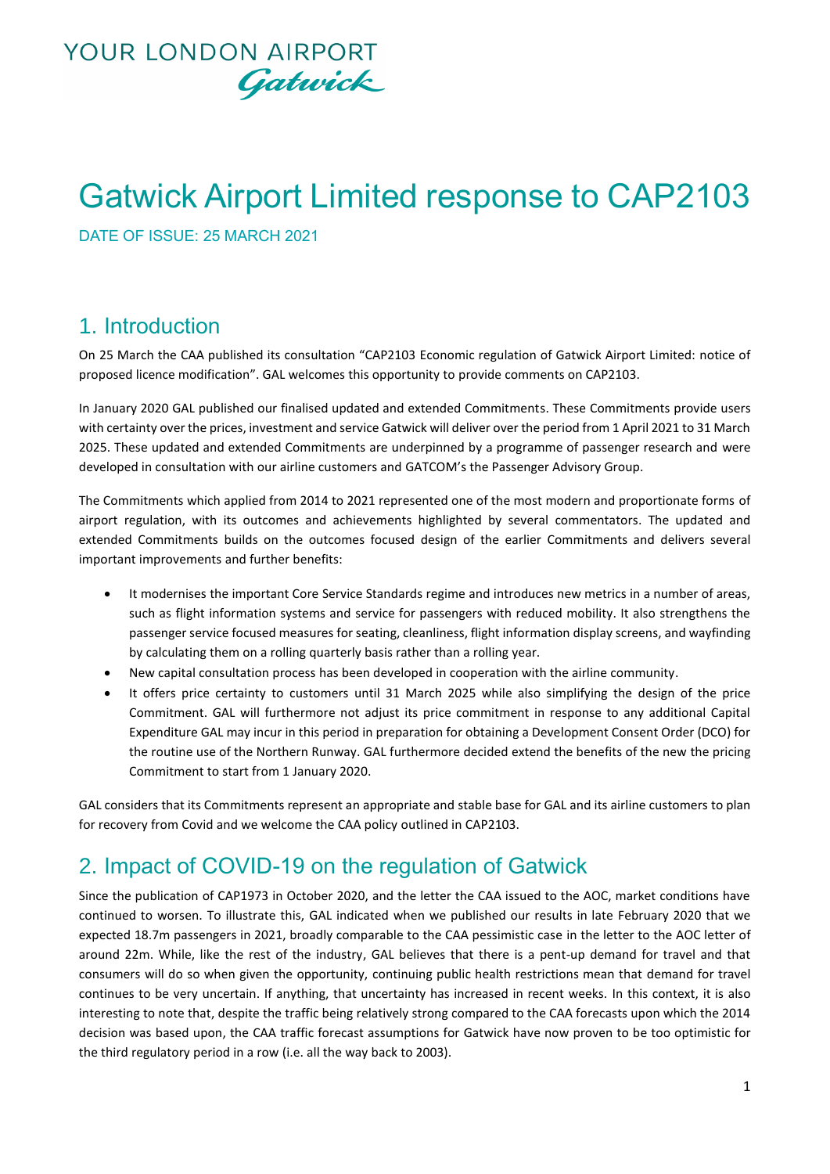## **YOUR LONDON AIRPORT** Gatwick

# Gatwick Airport Limited response to CAP2103

DATE OF ISSUE: 25 MARCH 2021

#### 1. Introduction

On 25 March the CAA published its consultation "CAP2103 Economic regulation of Gatwick Airport Limited: notice of proposed licence modification". GAL welcomes this opportunity to provide comments on CAP2103.

In January 2020 GAL published our finalised updated and extended Commitments. These Commitments provide users with certainty over the prices, investment and service Gatwick will deliver over the period from 1 April 2021 to 31 March 2025. These updated and extended Commitments are underpinned by a programme of passenger research and were developed in consultation with our airline customers and GATCOM's the Passenger Advisory Group.

The Commitments which applied from 2014 to 2021 represented one of the most modern and proportionate forms of airport regulation, with its outcomes and achievements highlighted by several commentators. The updated and extended Commitments builds on the outcomes focused design of the earlier Commitments and delivers several important improvements and further benefits:

- It modernises the important Core Service Standards regime and introduces new metrics in a number of areas, such as flight information systems and service for passengers with reduced mobility. It also strengthens the passenger service focused measures for seating, cleanliness, flight information display screens, and wayfinding by calculating them on a rolling quarterly basis rather than a rolling year.
- New capital consultation process has been developed in cooperation with the airline community.
- It offers price certainty to customers until 31 March 2025 while also simplifying the design of the price Commitment. GAL will furthermore not adjust its price commitment in response to any additional Capital Expenditure GAL may incur in this period in preparation for obtaining a Development Consent Order (DCO) for the routine use of the Northern Runway. GAL furthermore decided extend the benefits of the new the pricing Commitment to start from 1 January 2020.

GAL considers that its Commitments represent an appropriate and stable base for GAL and its airline customers to plan for recovery from Covid and we welcome the CAA policy outlined in CAP2103.

### 2. Impact of COVID-19 on the regulation of Gatwick

Since the publication of CAP1973 in October 2020, and the letter the CAA issued to the AOC, market conditions have continued to worsen. To illustrate this, GAL indicated when we published our results in late February 2020 that we expected 18.7m passengers in 2021, broadly comparable to the CAA pessimistic case in the letter to the AOC letter of around 22m. While, like the rest of the industry, GAL believes that there is a pent-up demand for travel and that consumers will do so when given the opportunity, continuing public health restrictions mean that demand for travel continues to be very uncertain. If anything, that uncertainty has increased in recent weeks. In this context, it is also interesting to note that, despite the traffic being relatively strong compared to the CAA forecasts upon which the 2014 decision was based upon, the CAA traffic forecast assumptions for Gatwick have now proven to be too optimistic for the third regulatory period in a row (i.e. all the way back to 2003).